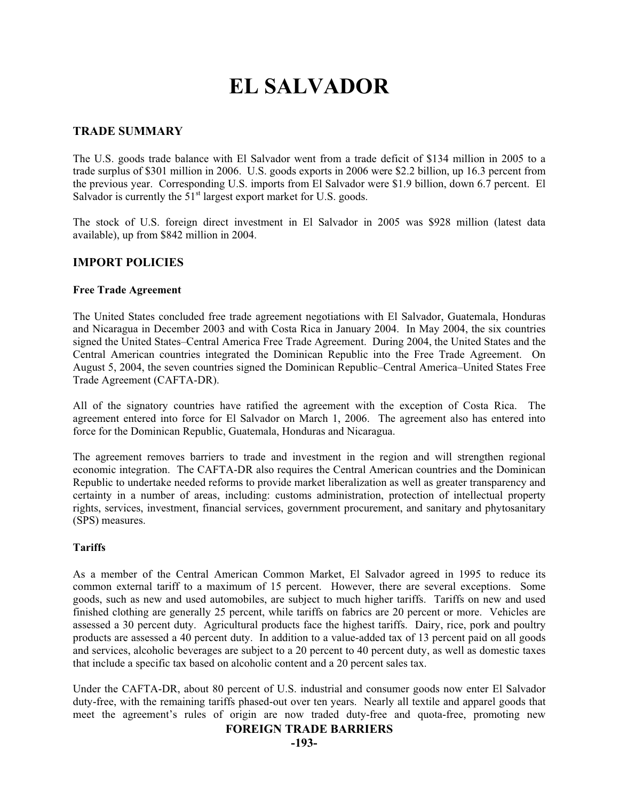# **EL SALVADOR**

#### **TRADE SUMMARY**

The U.S. goods trade balance with El Salvador went from a trade deficit of \$134 million in 2005 to a trade surplus of \$301 million in 2006. U.S. goods exports in 2006 were \$2.2 billion, up 16.3 percent from the previous year. Corresponding U.S. imports from El Salvador were \$1.9 billion, down 6.7 percent. El Salvador is currently the  $51<sup>st</sup>$  largest export market for U.S. goods.

The stock of U.S. foreign direct investment in El Salvador in 2005 was \$928 million (latest data available), up from \$842 million in 2004.

#### **IMPORT POLICIES**

#### **Free Trade Agreement**

The United States concluded free trade agreement negotiations with El Salvador, Guatemala, Honduras and Nicaragua in December 2003 and with Costa Rica in January 2004. In May 2004, the six countries signed the United States–Central America Free Trade Agreement. During 2004, the United States and the Central American countries integrated the Dominican Republic into the Free Trade Agreement. On August 5, 2004, the seven countries signed the Dominican Republic–Central America–United States Free Trade Agreement (CAFTA-DR).

All of the signatory countries have ratified the agreement with the exception of Costa Rica. The agreement entered into force for El Salvador on March 1, 2006. The agreement also has entered into force for the Dominican Republic, Guatemala, Honduras and Nicaragua.

The agreement removes barriers to trade and investment in the region and will strengthen regional economic integration. The CAFTA-DR also requires the Central American countries and the Dominican Republic to undertake needed reforms to provide market liberalization as well as greater transparency and certainty in a number of areas, including: customs administration, protection of intellectual property rights, services, investment, financial services, government procurement, and sanitary and phytosanitary (SPS) measures.

#### **Tariffs**

As a member of the Central American Common Market, El Salvador agreed in 1995 to reduce its common external tariff to a maximum of 15 percent. However, there are several exceptions. Some goods, such as new and used automobiles, are subject to much higher tariffs. Tariffs on new and used finished clothing are generally 25 percent, while tariffs on fabrics are 20 percent or more. Vehicles are assessed a 30 percent duty. Agricultural products face the highest tariffs. Dairy, rice, pork and poultry products are assessed a 40 percent duty. In addition to a value-added tax of 13 percent paid on all goods and services, alcoholic beverages are subject to a 20 percent to 40 percent duty, as well as domestic taxes that include a specific tax based on alcoholic content and a 20 percent sales tax.

Under the CAFTA-DR, about 80 percent of U.S. industrial and consumer goods now enter El Salvador duty-free, with the remaining tariffs phased-out over ten years. Nearly all textile and apparel goods that meet the agreement's rules of origin are now traded duty-free and quota-free, promoting new

#### **FOREIGN TRADE BARRIERS**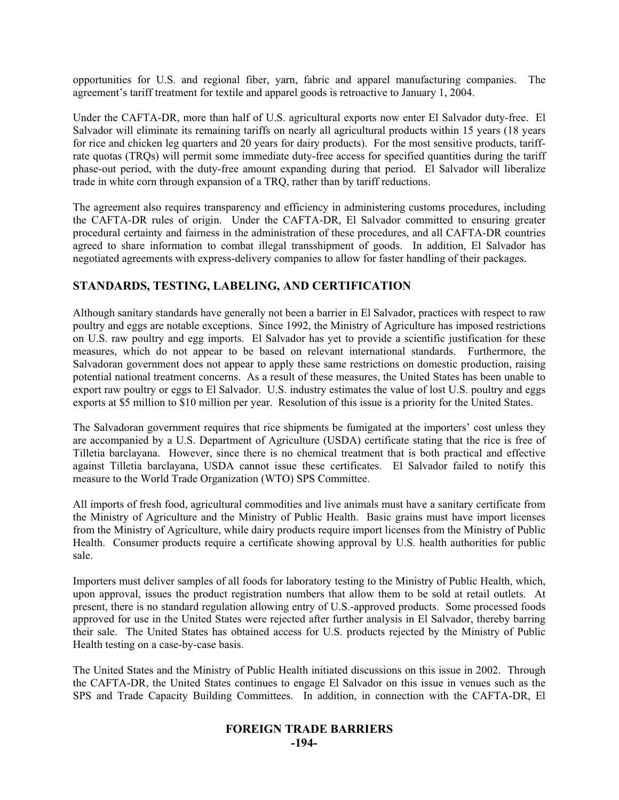opportunities for U.S. and regional fiber, yarn, fabric and apparel manufacturing companies. The agreement's tariff treatment for textile and apparel goods is retroactive to January 1, 2004.

Under the CAFTA-DR, more than half of U.S. agricultural exports now enter El Salvador duty-free. El Salvador will eliminate its remaining tariffs on nearly all agricultural products within 15 years (18 years for rice and chicken leg quarters and 20 years for dairy products). For the most sensitive products, tariffrate quotas (TRQs) will permit some immediate duty-free access for specified quantities during the tariff phase-out period, with the duty-free amount expanding during that period. El Salvador will liberalize trade in white corn through expansion of a TRQ, rather than by tariff reductions.

The agreement also requires transparency and efficiency in administering customs procedures, including the CAFTA-DR rules of origin. Under the CAFTA-DR, El Salvador committed to ensuring greater procedural certainty and fairness in the administration of these procedures, and all CAFTA-DR countries agreed to share information to combat illegal transshipment of goods. In addition, El Salvador has negotiated agreements with express-delivery companies to allow for faster handling of their packages.

# **STANDARDS, TESTING, LABELING, AND CERTIFICATION**

Although sanitary standards have generally not been a barrier in El Salvador, practices with respect to raw poultry and eggs are notable exceptions. Since 1992, the Ministry of Agriculture has imposed restrictions on U.S. raw poultry and egg imports. El Salvador has yet to provide a scientific justification for these measures, which do not appear to be based on relevant international standards. Furthermore, the Salvadoran government does not appear to apply these same restrictions on domestic production, raising potential national treatment concerns. As a result of these measures, the United States has been unable to export raw poultry or eggs to El Salvador. U.S. industry estimates the value of lost U.S. poultry and eggs exports at \$5 million to \$10 million per year. Resolution of this issue is a priority for the United States.

The Salvadoran government requires that rice shipments be fumigated at the importers' cost unless they are accompanied by a U.S. Department of Agriculture (USDA) certificate stating that the rice is free of Tilletia barclayana. However, since there is no chemical treatment that is both practical and effective against Tilletia barclayana, USDA cannot issue these certificates. El Salvador failed to notify this measure to the World Trade Organization (WTO) SPS Committee.

All imports of fresh food, agricultural commodities and live animals must have a sanitary certificate from the Ministry of Agriculture and the Ministry of Public Health. Basic grains must have import licenses from the Ministry of Agriculture, while dairy products require import licenses from the Ministry of Public Health. Consumer products require a certificate showing approval by U.S. health authorities for public sale.

Importers must deliver samples of all foods for laboratory testing to the Ministry of Public Health, which, upon approval, issues the product registration numbers that allow them to be sold at retail outlets. At present, there is no standard regulation allowing entry of U.S.-approved products. Some processed foods approved for use in the United States were rejected after further analysis in El Salvador, thereby barring their sale. The United States has obtained access for U.S. products rejected by the Ministry of Public Health testing on a case-by-case basis.

The United States and the Ministry of Public Health initiated discussions on this issue in 2002. Through the CAFTA-DR, the United States continues to engage El Salvador on this issue in venues such as the SPS and Trade Capacity Building Committees. In addition, in connection with the CAFTA-DR, El

# **FOREIGN TRADE BARRIERS -194-**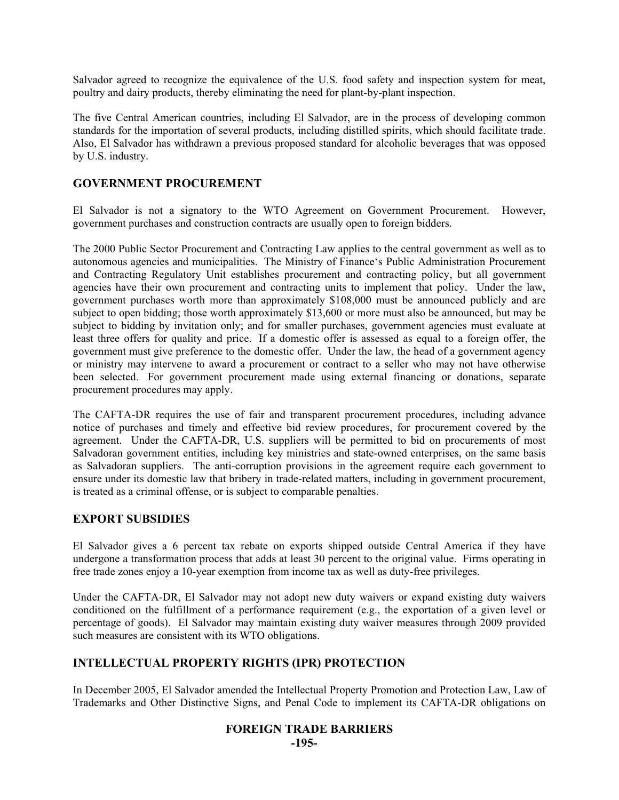Salvador agreed to recognize the equivalence of the U.S. food safety and inspection system for meat, poultry and dairy products, thereby eliminating the need for plant-by-plant inspection.

The five Central American countries, including El Salvador, are in the process of developing common standards for the importation of several products, including distilled spirits, which should facilitate trade. Also, El Salvador has withdrawn a previous proposed standard for alcoholic beverages that was opposed by U.S. industry.

# **GOVERNMENT PROCUREMENT**

El Salvador is not a signatory to the WTO Agreement on Government Procurement. However, government purchases and construction contracts are usually open to foreign bidders.

The 2000 Public Sector Procurement and Contracting Law applies to the central government as well as to autonomous agencies and municipalities. The Ministry of Finance's Public Administration Procurement and Contracting Regulatory Unit establishes procurement and contracting policy, but all government agencies have their own procurement and contracting units to implement that policy. Under the law, government purchases worth more than approximately \$108,000 must be announced publicly and are subject to open bidding; those worth approximately \$13,600 or more must also be announced, but may be subject to bidding by invitation only; and for smaller purchases, government agencies must evaluate at least three offers for quality and price. If a domestic offer is assessed as equal to a foreign offer, the government must give preference to the domestic offer. Under the law, the head of a government agency or ministry may intervene to award a procurement or contract to a seller who may not have otherwise been selected. For government procurement made using external financing or donations, separate procurement procedures may apply.

The CAFTA-DR requires the use of fair and transparent procurement procedures, including advance notice of purchases and timely and effective bid review procedures, for procurement covered by the agreement. Under the CAFTA-DR, U.S. suppliers will be permitted to bid on procurements of most Salvadoran government entities, including key ministries and state-owned enterprises, on the same basis as Salvadoran suppliers. The anti-corruption provisions in the agreement require each government to ensure under its domestic law that bribery in trade-related matters, including in government procurement, is treated as a criminal offense, or is subject to comparable penalties.

# **EXPORT SUBSIDIES**

El Salvador gives a 6 percent tax rebate on exports shipped outside Central America if they have undergone a transformation process that adds at least 30 percent to the original value. Firms operating in free trade zones enjoy a 10-year exemption from income tax as well as duty-free privileges.

Under the CAFTA-DR, El Salvador may not adopt new duty waivers or expand existing duty waivers conditioned on the fulfillment of a performance requirement (e.g., the exportation of a given level or percentage of goods). El Salvador may maintain existing duty waiver measures through 2009 provided such measures are consistent with its WTO obligations.

# **INTELLECTUAL PROPERTY RIGHTS (IPR) PROTECTION**

In December 2005, El Salvador amended the Intellectual Property Promotion and Protection Law, Law of Trademarks and Other Distinctive Signs, and Penal Code to implement its CAFTA-DR obligations on

#### **FOREIGN TRADE BARRIERS -195-**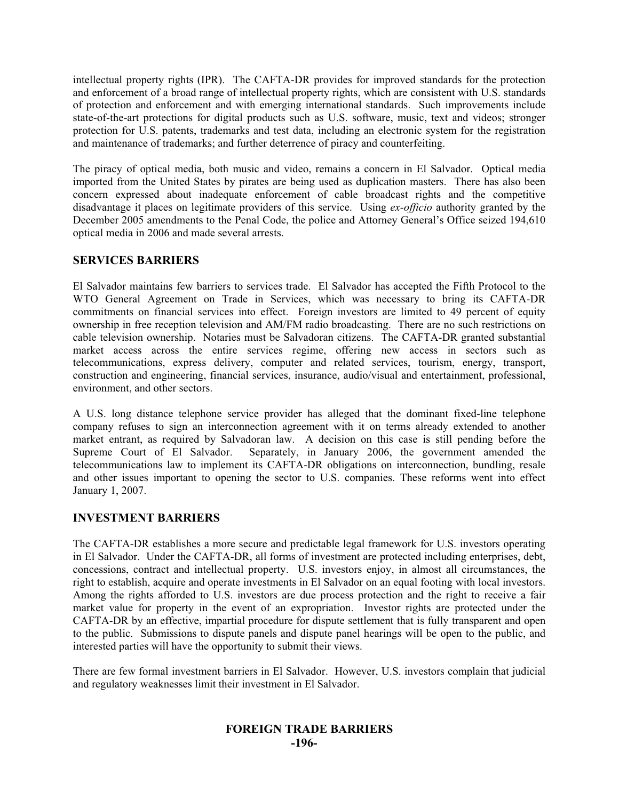intellectual property rights (IPR). The CAFTA-DR provides for improved standards for the protection and enforcement of a broad range of intellectual property rights, which are consistent with U.S. standards of protection and enforcement and with emerging international standards. Such improvements include state-of-the-art protections for digital products such as U.S. software, music, text and videos; stronger protection for U.S. patents, trademarks and test data, including an electronic system for the registration and maintenance of trademarks; and further deterrence of piracy and counterfeiting.

The piracy of optical media, both music and video, remains a concern in El Salvador. Optical media imported from the United States by pirates are being used as duplication masters. There has also been concern expressed about inadequate enforcement of cable broadcast rights and the competitive disadvantage it places on legitimate providers of this service. Using *ex-officio* authority granted by the December 2005 amendments to the Penal Code, the police and Attorney General's Office seized 194,610 optical media in 2006 and made several arrests.

# **SERVICES BARRIERS**

El Salvador maintains few barriers to services trade. El Salvador has accepted the Fifth Protocol to the WTO General Agreement on Trade in Services, which was necessary to bring its CAFTA-DR commitments on financial services into effect. Foreign investors are limited to 49 percent of equity ownership in free reception television and AM/FM radio broadcasting. There are no such restrictions on cable television ownership. Notaries must be Salvadoran citizens. The CAFTA-DR granted substantial market access across the entire services regime, offering new access in sectors such as telecommunications, express delivery, computer and related services, tourism, energy, transport, construction and engineering, financial services, insurance, audio/visual and entertainment, professional, environment, and other sectors.

A U.S. long distance telephone service provider has alleged that the dominant fixed-line telephone company refuses to sign an interconnection agreement with it on terms already extended to another market entrant, as required by Salvadoran law. A decision on this case is still pending before the Supreme Court of El Salvador. Separately, in January 2006, the government amended the Separately, in January 2006, the government amended the telecommunications law to implement its CAFTA-DR obligations on interconnection, bundling, resale and other issues important to opening the sector to U.S. companies. These reforms went into effect January 1, 2007.

#### **INVESTMENT BARRIERS**

The CAFTA-DR establishes a more secure and predictable legal framework for U.S. investors operating in El Salvador. Under the CAFTA-DR, all forms of investment are protected including enterprises, debt, concessions, contract and intellectual property. U.S. investors enjoy, in almost all circumstances, the right to establish, acquire and operate investments in El Salvador on an equal footing with local investors. Among the rights afforded to U.S. investors are due process protection and the right to receive a fair market value for property in the event of an expropriation. Investor rights are protected under the CAFTA-DR by an effective, impartial procedure for dispute settlement that is fully transparent and open to the public. Submissions to dispute panels and dispute panel hearings will be open to the public, and interested parties will have the opportunity to submit their views.

There are few formal investment barriers in El Salvador. However, U.S. investors complain that judicial and regulatory weaknesses limit their investment in El Salvador.

# **FOREIGN TRADE BARRIERS -196-**